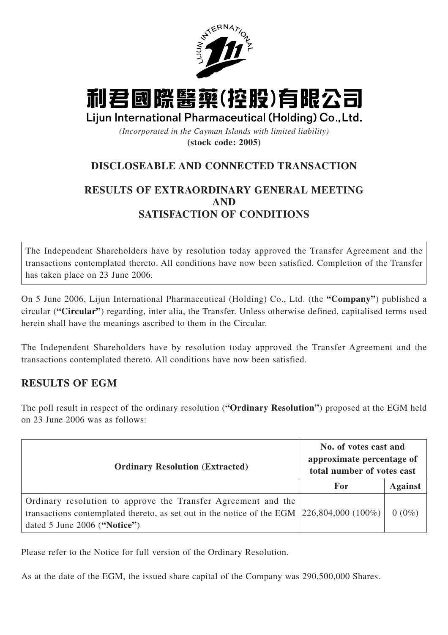

# 利君國際醫藥(控股)有限公司

Lijun International Pharmaceutical (Holding) Co., Ltd.

*(Incorporated in the Cayman Islands with limited liability)* **(stock code: 2005)**

# **DISCLOSEABLE AND CONNECTED TRANSACTION**

## **RESULTS OF EXTRAORDINARY GENERAL MEETING AND SATISFACTION OF CONDITIONS**

The Independent Shareholders have by resolution today approved the Transfer Agreement and the transactions contemplated thereto. All conditions have now been satisfied. Completion of the Transfer has taken place on 23 June 2006.

On 5 June 2006, Lijun International Pharmaceutical (Holding) Co., Ltd. (the **"Company"**) published a circular (**"Circular"**) regarding, inter alia, the Transfer. Unless otherwise defined, capitalised terms used herein shall have the meanings ascribed to them in the Circular.

The Independent Shareholders have by resolution today approved the Transfer Agreement and the transactions contemplated thereto. All conditions have now been satisfied.

## **RESULTS OF EGM**

The poll result in respect of the ordinary resolution (**"Ordinary Resolution"**) proposed at the EGM held on 23 June 2006 was as follows:

| <b>Ordinary Resolution (Extracted)</b>                                                                                                                                                       | No. of votes cast and<br>approximate percentage of<br>total number of votes cast |                |
|----------------------------------------------------------------------------------------------------------------------------------------------------------------------------------------------|----------------------------------------------------------------------------------|----------------|
|                                                                                                                                                                                              | For                                                                              | <b>Against</b> |
| Ordinary resolution to approve the Transfer Agreement and the<br>transactions contemplated thereto, as set out in the notice of the EGM $ 226,804,000 100\%$<br>dated 5 June 2006 ("Notice") |                                                                                  | $0(0\%)$       |

Please refer to the Notice for full version of the Ordinary Resolution.

As at the date of the EGM, the issued share capital of the Company was 290,500,000 Shares.